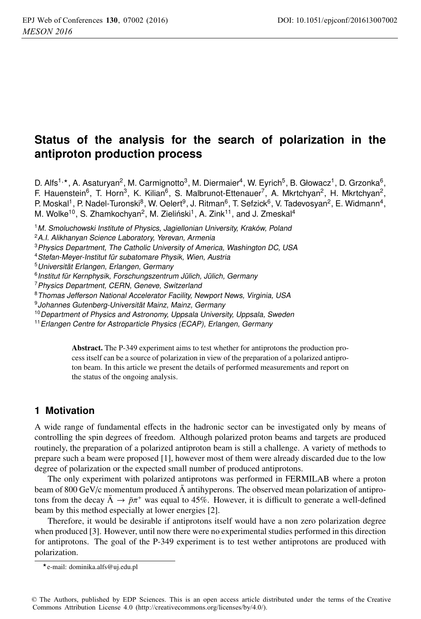# **Status of the analysis for the search of polarization in the antiproton production process**

D. Alfs<sup>1,\*</sup>, A. Asaturyan<sup>2</sup>, M. Carmignotto<sup>3</sup>, M. Diermaier<sup>4</sup>, W. Eyrich<sup>5</sup>, B. Głowacz<sup>1</sup>, D. Grzonka<sup>6</sup>, F. Hauenstein<sup>6</sup>, T. Horn<sup>3</sup>, K. Kilian<sup>6</sup>, S. Malbrunot-Ettenauer<sup>7</sup>, A. Mkrtchyan<sup>2</sup>, H. Mkrtchyan<sup>2</sup>, P. Moskal<sup>1</sup>, P. Nadel-Turonski<sup>8</sup>, W. Oelert<sup>9</sup>, J. Ritman<sup>6</sup>, T. Sefzick<sup>6</sup>, V. Tadevosyan<sup>2</sup>, E. Widmann<sup>4</sup>, M. Wolke<sup>10</sup>, S. Zhamkochyan<sup>2</sup>, M. Zieliński<sup>1</sup>, A. Zink<sup>11</sup>, and J. Zmeskal<sup>4</sup>

<sup>1</sup>M. Smoluchowski Institute of Physics, Jagiellonian University, Kraków, Poland

<sup>2</sup>A.I. Alikhanyan Science Laboratory, Yerevan, Armenia

<sup>3</sup> Physics Department, The Catholic University of America, Washington DC, USA

<sup>4</sup>Stefan-Meyer-Institut für subatomare Physik, Wien, Austria

<sup>5</sup>Universität Erlangen, Erlangen, Germany

<sup>6</sup> Institut für Kernphysik, Forschungszentrum Jülich, Jülich, Germany

<sup>7</sup> Physics Department, CERN, Geneve, Switzerland

<sup>8</sup>Thomas Jefferson National Accelerator Facility, Newport News, Virginia, USA

<sup>9</sup>Johannes Gutenberg-Universität Mainz, Mainz, Germany

<sup>10</sup> Department of Physics and Astronomy, Uppsala University, Uppsala, Sweden

<sup>11</sup> Erlangen Centre for Astroparticle Physics (ECAP), Erlangen, Germany

Abstract. The P-349 experiment aims to test whether for antiprotons the production process itself can be a source of polarization in view of the preparation of a polarized antiproton beam. In this article we present the details of performed measurements and report on the status of the ongoing analysis.

## **1 Motivation**

A wide range of fundamental effects in the hadronic sector can be investigated only by means of controlling the spin degrees of freedom. Although polarized proton beams and targets are produced routinely, the preparation of a polarized antiproton beam is still a challenge. A variety of methods to prepare such a beam were proposed [1], however most of them were already discarded due to the low degree of polarization or the expected small number of produced antiprotons.

The only experiment with polarized antiprotons was performed in FERMILAB where a proton beam of 800 GeV/c momentum produced  $\bar{\Lambda}$  antihyperons. The observed mean polarization of antiprotons from the decay  $\bar{\Lambda} \to \bar{p}\pi^+$  was equal to 45%. However, it is difficult to generate a well-defined beam by this method especially at lower energies [2].

Therefore, it would be desirable if antiprotons itself would have a non zero polarization degree when produced [3]. However, until now there were no experimental studies performed in this direction for antiprotons. The goal of the P-349 experiment is to test wether antiprotons are produced with polarization.

<sup>-</sup>e-mail: dominika.alfs@uj.edu.pl

<sup>©</sup> The Authors, published by EDP Sciences. This is an open access article distributed under the terms of the Creative Commons Attribution License 4.0 (http://creativecommons.org/licenses/by/4.0/).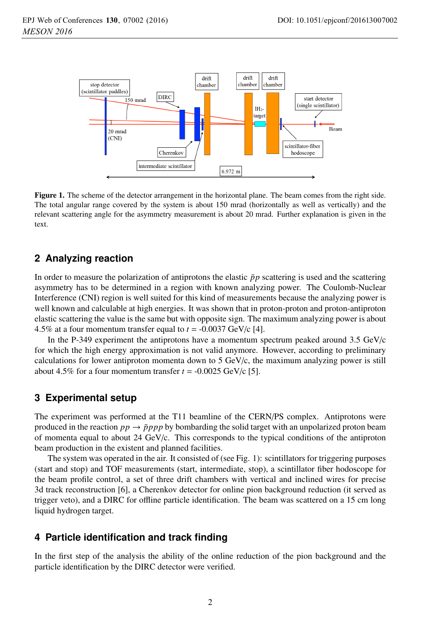

Figure 1. The scheme of the detector arrangement in the horizontal plane. The beam comes from the right side. The total angular range covered by the system is about 150 mrad (horizontally as well as vertically) and the relevant scattering angle for the asymmetry measurement is about 20 mrad. Further explanation is given in the text.

## **2 Analyzing reaction**

In order to measure the polarization of antiprotons the elastic  $\bar{p}p$  scattering is used and the scattering asymmetry has to be determined in a region with known analyzing power. The Coulomb-Nuclear Interference (CNI) region is well suited for this kind of measurements because the analyzing power is well known and calculable at high energies. It was shown that in proton-proton and proton-antiproton elastic scattering the value is the same but with opposite sign. The maximum analyzing power is about 4.5% at a four momentum transfer equal to  $t = -0.0037$  GeV/c [4].

In the P-349 experiment the antiprotons have a momentum spectrum peaked around  $3.5 \text{ GeV/c}$ for which the high energy approximation is not valid anymore. However, according to preliminary calculations for lower antiproton momenta down to 5  $GeV/c$ , the maximum analyzing power is still about 4.5% for a four momentum transfer  $t = -0.0025$  GeV/c [5].

#### **3 Experimental setup**

The experiment was performed at the T11 beamline of the CERN/PS complex. Antiprotons were produced in the reaction  $pp \rightarrow \bar{p}ppp$  by bombarding the solid target with an unpolarized proton beam of momenta equal to about 24 GeV/c. This corresponds to the typical conditions of the antiproton beam production in the existent and planned facilities.

The system was operated in the air. It consisted of (see Fig. 1): scintillators for triggering purposes (start and stop) and TOF measurements (start, intermediate, stop), a scintillator fiber hodoscope for the beam profile control, a set of three drift chambers with vertical and inclined wires for precise 3d track reconstruction [6], a Cherenkov detector for online pion background reduction (it served as trigger veto), and a DIRC for offline particle identification. The beam was scattered on a 15 cm long liquid hydrogen target.

## **4 Particle identification and track finding**

In the first step of the analysis the ability of the online reduction of the pion background and the particle identification by the DIRC detector were verified.